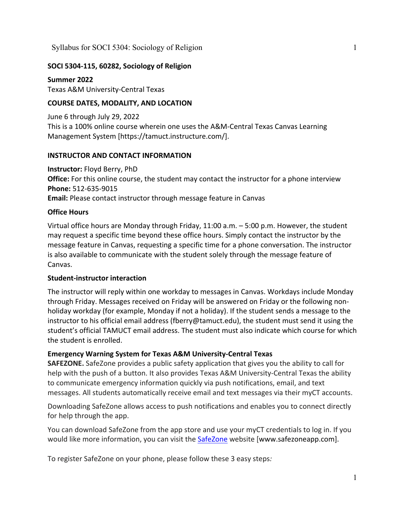# **SOCI 5304-115, 60282, Sociology of Religion**

**Summer 2022** Texas A&M University-Central Texas

## **COURSE DATES, MODALITY, AND LOCATION**

June 6 through July 29, 2022 This is a 100% online course wherein one uses the A&M-Central Texas Canvas Learning Management System [https://tamuct.instructure.com/].

## **INSTRUCTOR AND CONTACT INFORMATION**

**Instructor:** Floyd Berry, PhD **Office:** For this online course, the student may contact the instructor for a phone interview **Phone:** 512-635-9015 **Email:** Please contact instructor through message feature in Canvas

## **Office Hours**

Virtual office hours are Monday through Friday, 11:00 a.m. – 5:00 p.m. However, the student may request a specific time beyond these office hours. Simply contact the instructor by the message feature in Canvas, requesting a specific time for a phone conversation. The instructor is also available to communicate with the student solely through the message feature of Canvas.

## **Student-instructor interaction**

The instructor will reply within one workday to messages in Canvas. Workdays include Monday through Friday. Messages received on Friday will be answered on Friday or the following nonholiday workday (for example, Monday if not a holiday). If the student sends a message to the instructor to his official email address (fberry@tamuct.edu), the student must send it using the student's official TAMUCT email address. The student must also indicate which course for which the student is enrolled.

## **Emergency Warning System for Texas A&M University-Central Texas**

**SAFEZONE.** SafeZone provides a public safety application that gives you the ability to call for help with the push of a button. It also provides Texas A&M University-Central Texas the ability to communicate emergency information quickly via push notifications, email, and text messages. All students automatically receive email and text messages via their myCT accounts.

Downloading SafeZone allows access to push notifications and enables you to connect directly for help through the app.

You can download SafeZone from the app store and use your myCT credentials to log in. If you would like more information, you can visit the [SafeZone](http://www.safezoneapp.com/) website [www.safezoneapp.com].

To register SafeZone on your phone, please follow these 3 easy steps*:*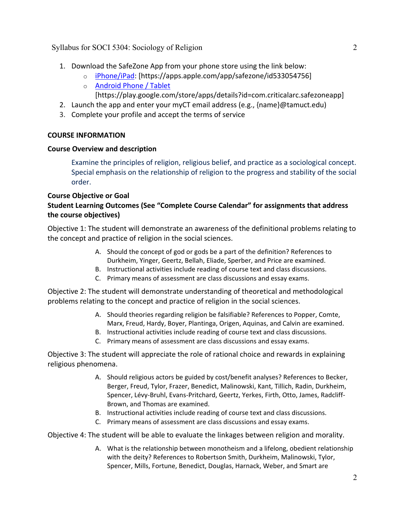- 1. Download the SafeZone App from your phone store using the link below:
	- o [iPhone/iPad:](https://apps.apple.com/app/safezone/id533054756) [https://apps.apple.com/app/safezone/id533054756]
	- o [Android Phone / Tablet](https://play.google.com/store/apps/details?id=com.criticalarc.safezoneapp) [https://play.google.com/store/apps/details?id=com.criticalarc.safezoneapp]
- 2. Launch the app and enter your myCT email address (e.g., {name}@tamuct.edu)
- 3. Complete your profile and accept the terms of service

## **COURSE INFORMATION**

## **Course Overview and description**

Examine the principles of religion, religious belief, and practice as a sociological concept. Special emphasis on the relationship of religion to the progress and stability of the social order.

# **Course Objective or Goal**

# **Student Learning Outcomes (See "Complete Course Calendar" for assignments that address the course objectives)**

Objective 1: The student will demonstrate an awareness of the definitional problems relating to the concept and practice of religion in the social sciences.

- A. Should the concept of god or gods be a part of the definition? References to Durkheim, Yinger, Geertz, Bellah, Eliade, Sperber, and Price are examined.
- B. Instructional activities include reading of course text and class discussions.
- C. Primary means of assessment are class discussions and essay exams.

Objective 2: The student will demonstrate understanding of theoretical and methodological problems relating to the concept and practice of religion in the social sciences.

- A. Should theories regarding religion be falsifiable? References to Popper, Comte, Marx, Freud, Hardy, Boyer, Plantinga, Origen, Aquinas, and Calvin are examined.
- B. Instructional activities include reading of course text and class discussions.
- C. Primary means of assessment are class discussions and essay exams.

Objective 3: The student will appreciate the role of rational choice and rewards in explaining religious phenomena.

- A. Should religious actors be guided by cost/benefit analyses? References to Becker, Berger, Freud, Tylor, Frazer, Benedict, Malinowski, Kant, Tillich, Radin, Durkheim, Spencer, Lévy-Bruhl, Evans-Pritchard, Geertz, Yerkes, Firth, Otto, James, Radcliff-Brown, and Thomas are examined.
- B. Instructional activities include reading of course text and class discussions.
- C. Primary means of assessment are class discussions and essay exams.

Objective 4: The student will be able to evaluate the linkages between religion and morality.

A. What is the relationship between monotheism and a lifelong, obedient relationship with the deity? References to Robertson Smith, Durkheim, Malinowski, Tylor, Spencer, Mills, Fortune, Benedict, Douglas, Harnack, Weber, and Smart are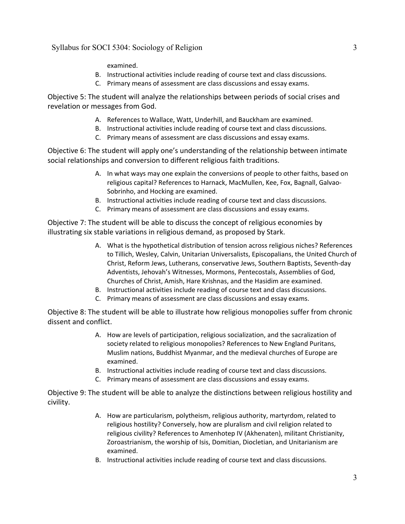#### examined.

- B. Instructional activities include reading of course text and class discussions.
- C. Primary means of assessment are class discussions and essay exams.

Objective 5: The student will analyze the relationships between periods of social crises and revelation or messages from God.

- A. References to Wallace, Watt, Underhill, and Bauckham are examined.
- B. Instructional activities include reading of course text and class discussions.
- C. Primary means of assessment are class discussions and essay exams.

Objective 6: The student will apply one's understanding of the relationship between intimate social relationships and conversion to different religious faith traditions.

- A. In what ways may one explain the conversions of people to other faiths, based on religious capital? References to Harnack, MacMullen, Kee, Fox, Bagnall, Galvao-Sobrinho, and Hocking are examined.
- B. Instructional activities include reading of course text and class discussions.
- C. Primary means of assessment are class discussions and essay exams.

Objective 7: The student will be able to discuss the concept of religious economies by illustrating six stable variations in religious demand, as proposed by Stark.

- A. What is the hypothetical distribution of tension across religious niches? References to Tillich, Wesley, Calvin, Unitarian Universalists, Episcopalians, the United Church of Christ, Reform Jews, Lutherans, conservative Jews, Southern Baptists, Seventh-day Adventists, Jehovah's Witnesses, Mormons, Pentecostals, Assemblies of God, Churches of Christ, Amish, Hare Krishnas, and the Hasidim are examined.
- B. Instructional activities include reading of course text and class discussions.
- C. Primary means of assessment are class discussions and essay exams.

Objective 8: The student will be able to illustrate how religious monopolies suffer from chronic dissent and conflict.

- A. How are levels of participation, religious socialization, and the sacralization of society related to religious monopolies? References to New England Puritans, Muslim nations, Buddhist Myanmar, and the medieval churches of Europe are examined.
- B. Instructional activities include reading of course text and class discussions.
- C. Primary means of assessment are class discussions and essay exams.

Objective 9: The student will be able to analyze the distinctions between religious hostility and civility.

- A. How are particularism, polytheism, religious authority, martyrdom, related to religious hostility? Conversely, how are pluralism and civil religion related to religious civility? References to Amenhotep IV (Akhenaten), militant Christianity, Zoroastrianism, the worship of Isis, Domitian, Diocletian, and Unitarianism are examined.
- B. Instructional activities include reading of course text and class discussions.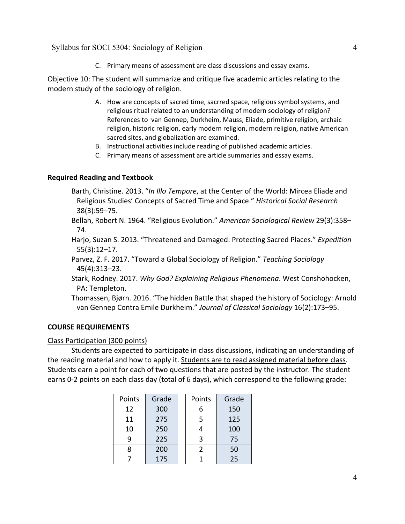C. Primary means of assessment are class discussions and essay exams.

Objective 10: The student will summarize and critique five academic articles relating to the modern study of the sociology of religion.

- A. How are concepts of sacred time, sacrred space, religious symbol systems, and religious ritual related to an understanding of modern sociology of religion? References to van Gennep, Durkheim, Mauss, Eliade, primitive religion, archaic religion, historic religion, early modern religion, modern religion, native American sacred sites, and globalization are examined.
- B. Instructional activities include reading of published academic articles.
- C. Primary means of assessment are article summaries and essay exams.

#### **Required Reading and Textbook**

Barth, Christine. 2013. "*In Illo Tempore*, at the Center of the World: Mircea Eliade and Religious Studies' Concepts of Sacred Time and Space." *Historical Social Research* 38(3):59–75.

- Bellah, Robert N. 1964. "Religious Evolution." *American Sociological Review* 29(3):358– 74.
- Harjo, Suzan S. 2013. "Threatened and Damaged: Protecting Sacred Places." *Expedition* 55(3):12–17.
- Parvez, Z. F. 2017. "Toward a Global Sociology of Religion." *Teaching Sociology* 45(4):313–23.
- Stark, Rodney. 2017. *Why God? Explaining Religious Phenomena*. West Conshohocken, PA: Templeton.
- Thomassen, Bjørn. 2016. "The hidden Battle that shaped the history of Sociology: Arnold van Gennep Contra Emile Durkheim." *Journal of Classical Sociology* 16(2):173–95.

#### **COURSE REQUIREMENTS**

#### Class Participation (300 points)

Students are expected to participate in class discussions, indicating an understanding of the reading material and how to apply it. Students are to read assigned material before class. Students earn a point for each of two questions that are posted by the instructor. The student earns 0-2 points on each class day (total of 6 days), which correspond to the following grade:

| Points | Grade | Points | Grade |
|--------|-------|--------|-------|
| 12     | 300   | 6      | 150   |
| 11     | 275   | 5      | 125   |
| 10     | 250   |        | 100   |
| 9      | 225   | 3      | 75    |
| 8      | 200   | 2      | 50    |
|        | 175   |        | 25    |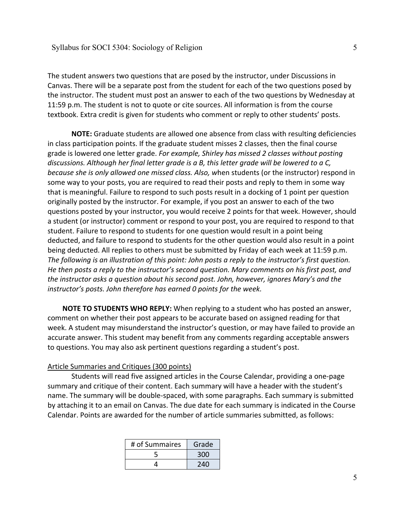The student answers two questions that are posed by the instructor, under Discussions in Canvas. There will be a separate post from the student for each of the two questions posed by the instructor. The student must post an answer to each of the two questions by Wednesday at 11:59 p.m. The student is not to quote or cite sources. All information is from the course textbook. Extra credit is given for students who comment or reply to other students' posts.

**NOTE:** Graduate students are allowed one absence from class with resulting deficiencies in class participation points. If the graduate student misses 2 classes, then the final course grade is lowered one letter grade. *For example, Shirley has missed 2 classes without posting discussions. Although her final letter grade is a B, this letter grade will be lowered to a C, because she is only allowed one missed class. Also, w*hen students (or the instructor) respond in some way to your posts, you are required to read their posts and reply to them in some way that is meaningful. Failure to respond to such posts result in a docking of 1 point per question originally posted by the instructor. For example, if you post an answer to each of the two questions posted by your instructor, you would receive 2 points for that week. However, should a student (or instructor) comment or respond to your post, you are required to respond to that student. Failure to respond to students for one question would result in a point being deducted, and failure to respond to students for the other question would also result in a point being deducted. All replies to others must be submitted by Friday of each week at 11:59 p.m. *The following is an illustration of this point: John posts a reply to the instructor's first question. He then posts a reply to the instructor's second question. Mary comments on his first post, and the instructor asks a question about his second post. John, however, ignores Mary's and the instructor's posts. John therefore has earned 0 points for the week.*

**NOTE TO STUDENTS WHO REPLY:** When replying to a student who has posted an answer, comment on whether their post appears to be accurate based on assigned reading for that week. A student may misunderstand the instructor's question, or may have failed to provide an accurate answer. This student may benefit from any comments regarding acceptable answers to questions. You may also ask pertinent questions regarding a student's post.

#### Article Summaries and Critiques (300 points)

Students will read five assigned articles in the Course Calendar, providing a one-page summary and critique of their content. Each summary will have a header with the student's name. The summary will be double-spaced, with some paragraphs. Each summary is submitted by attaching it to an email on Canvas. The due date for each summary is indicated in the Course Calendar. Points are awarded for the number of article summaries submitted, as follows:

| # of Summaires | Grade |
|----------------|-------|
|                | 300   |
|                | 240   |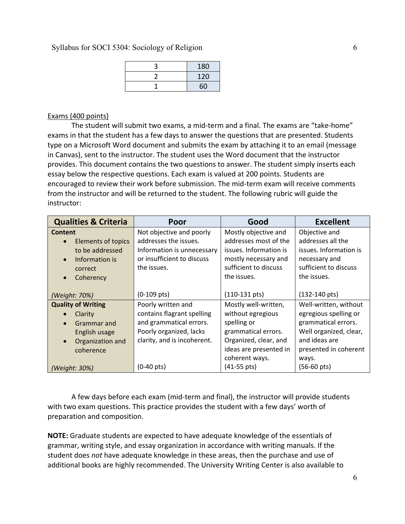| 180 |
|-----|
| 120 |
| 60  |

## Exams (400 points)

The student will submit two exams, a mid-term and a final. The exams are "take-home" exams in that the student has a few days to answer the questions that are presented. Students type on a Microsoft Word document and submits the exam by attaching it to an email (message in Canvas), sent to the instructor. The student uses the Word document that the instructor provides. This document contains the two questions to answer. The student simply inserts each essay below the respective questions. Each exam is valued at 200 points. Students are encouraged to review their work before submission. The mid-term exam will receive comments from the instructor and will be returned to the student. The following rubric will guide the instructor:

| <b>Qualities &amp; Criteria</b> | Poor                        | Good                    | <b>Excellent</b>        |
|---------------------------------|-----------------------------|-------------------------|-------------------------|
| Content                         | Not objective and poorly    | Mostly objective and    | Objective and           |
| <b>Elements of topics</b>       | addresses the issues.       | addresses most of the   | addresses all the       |
| to be addressed                 | Information is unnecessary  | issues. Information is  | issues. Information is  |
| Information is                  | or insufficient to discuss  | mostly necessary and    | necessary and           |
| correct                         | the issues.                 | sufficient to discuss   | sufficient to discuss   |
| Coherency<br>$\bullet$          |                             | the issues.             | the issues.             |
|                                 |                             |                         |                         |
| (Weight: 70%)                   | $(0-109 \text{ pts})$       | $(110-131 \text{ pts})$ | $(132-140 \text{ pts})$ |
| <b>Quality of Writing</b>       | Poorly written and          | Mostly well-written,    | Well-written, without   |
| Clarity                         | contains flagrant spelling  | without egregious       | egregious spelling or   |
| Grammar and                     | and grammatical errors.     | spelling or             | grammatical errors.     |
| English usage                   | Poorly organized, lacks     | grammatical errors.     | Well organized, clear,  |
| Organization and                | clarity, and is incoherent. | Organized, clear, and   | and ideas are           |
| coherence                       |                             | ideas are presented in  | presented in coherent   |
|                                 |                             | coherent ways.          | ways.                   |
| (Weight: 30%)                   | $(0-40 \text{ pts})$        | $(41-55 \text{ pts})$   | $(56-60 \text{ pts})$   |

A few days before each exam (mid-term and final), the instructor will provide students with two exam questions. This practice provides the student with a few days' worth of preparation and composition.

**NOTE:** Graduate students are expected to have adequate knowledge of the essentials of grammar, writing style, and essay organization in accordance with writing manuals. If the student does *not* have adequate knowledge in these areas, then the purchase and use of additional books are highly recommended. The University Writing Center is also available to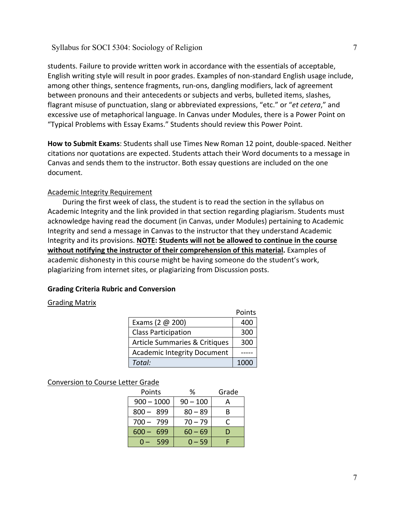students. Failure to provide written work in accordance with the essentials of acceptable, English writing style will result in poor grades. Examples of non-standard English usage include, among other things, sentence fragments, run-ons, dangling modifiers, lack of agreement between pronouns and their antecedents or subjects and verbs, bulleted items, slashes, flagrant misuse of punctuation, slang or abbreviated expressions, "etc." or "*et cetera*," and excessive use of metaphorical language. In Canvas under Modules, there is a Power Point on "Typical Problems with Essay Exams." Students should review this Power Point.

**How to Submit Exams**: Students shall use Times New Roman 12 point, double-spaced. Neither citations nor quotations are expected. Students attach their Word documents to a message in Canvas and sends them to the instructor. Both essay questions are included on the one document.

## Academic Integrity Requirement

During the first week of class, the student is to read the section in the syllabus on Academic Integrity and the link provided in that section regarding plagiarism. Students must acknowledge having read the document (in Canvas, under Modules) pertaining to Academic Integrity and send a message in Canvas to the instructor that they understand Academic Integrity and its provisions. **NOTE: Students will not be allowed to continue in the course without notifying the instructor of their comprehension of this material.** Examples of academic dishonesty in this course might be having someone do the student's work, plagiarizing from internet sites, or plagiarizing from Discussion posts.

#### **Grading Criteria Rubric and Conversion**

#### Grading Matrix

|                                    | Points |
|------------------------------------|--------|
| Exams (2 $@$ 200)                  | 400    |
| <b>Class Participation</b>         | 300    |
| Article Summaries & Critiques      | 300    |
| <b>Academic Integrity Document</b> |        |
| Total:                             | 1000   |

### Conversion to Course Letter Grade

| Points         | ℅          | Grade |
|----------------|------------|-------|
| $900 - 1000$   | $90 - 100$ |       |
| 899<br>$800 -$ | $80 - 89$  | В     |
| 700 - 799      | $70 - 79$  |       |
| 600<br>699     | $60 - 69$  | D     |
| 599            | $0 - 59$   |       |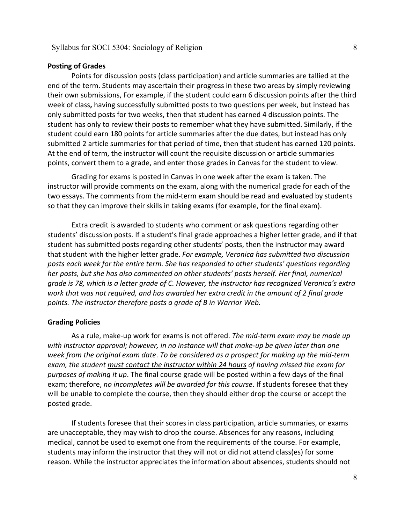#### **Posting of Grades**

Points for discussion posts (class participation) and article summaries are tallied at the end of the term. Students may ascertain their progress in these two areas by simply reviewing their own submissions, For example, if the student could earn 6 discussion points after the third week of class**,** having successfully submitted posts to two questions per week, but instead has only submitted posts for two weeks, then that student has earned 4 discussion points. The student has only to review their posts to remember what they have submitted. Similarly, if the student could earn 180 points for article summaries after the due dates, but instead has only submitted 2 article summaries for that period of time, then that student has earned 120 points. At the end of term, the instructor will count the requisite discussion or article summaries points, convert them to a grade, and enter those grades in Canvas for the student to view.

Grading for exams is posted in Canvas in one week after the exam is taken. The instructor will provide comments on the exam, along with the numerical grade for each of the two essays. The comments from the mid-term exam should be read and evaluated by students so that they can improve their skills in taking exams (for example, for the final exam).

Extra credit is awarded to students who comment or ask questions regarding other students' discussion posts. If a student's final grade approaches a higher letter grade, and if that student has submitted posts regarding other students' posts, then the instructor may award that student with the higher letter grade. *For example, Veronica has submitted two discussion posts each week for the entire term. She has responded to other students' questions regarding her posts, but she has also commented on other students' posts herself. Her final, numerical grade is 78, which is a letter grade of C. However, the instructor has recognized Veronica's extra work that was not required, and has awarded her extra credit in the amount of 2 final grade points. The instructor therefore posts a grade of B in Warrior Web.*

#### **Grading Policies**

As a rule, make-up work for exams is not offered. *The mid-term exam may be made up with instructor approval; however, in no instance will that make-up be given later than one week from the original exam date*. *To be considered as a prospect for making up the mid-term exam, the student must contact the instructor within 24 hours of having missed the exam for purposes of making it up*. The final course grade will be posted within a few days of the final exam; therefore, *no incompletes will be awarded for this course*. If students foresee that they will be unable to complete the course, then they should either drop the course or accept the posted grade.

If students foresee that their scores in class participation, article summaries, or exams are unacceptable, they may wish to drop the course. Absences for any reasons, including medical, cannot be used to exempt one from the requirements of the course. For example, students may inform the instructor that they will not or did not attend class(es) for some reason. While the instructor appreciates the information about absences, students should not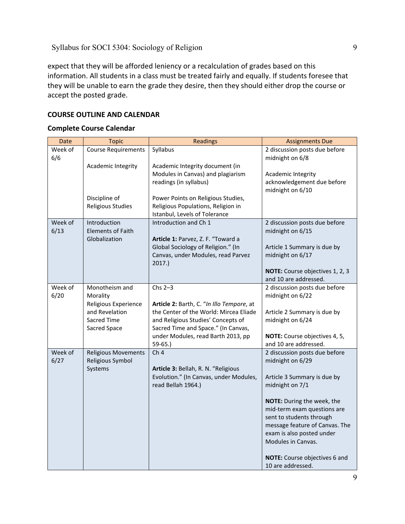expect that they will be afforded leniency or a recalculation of grades based on this information. All students in a class must be treated fairly and equally. If students foresee that they will be unable to earn the grade they desire, then they should either drop the course or accept the posted grade.

## **COURSE OUTLINE AND CALENDAR**

## **Complete Course Calendar**

| Date            | <b>Topic</b>                                                                                        | Readings                                                                                                                                                                                                                        | <b>Assignments Due</b>                                                                                                                                                                                                                                                                                                                  |
|-----------------|-----------------------------------------------------------------------------------------------------|---------------------------------------------------------------------------------------------------------------------------------------------------------------------------------------------------------------------------------|-----------------------------------------------------------------------------------------------------------------------------------------------------------------------------------------------------------------------------------------------------------------------------------------------------------------------------------------|
| Week of<br>6/6  | <b>Course Requirements</b>                                                                          | Syllabus                                                                                                                                                                                                                        | 2 discussion posts due before<br>midnight on 6/8                                                                                                                                                                                                                                                                                        |
|                 | Academic Integrity                                                                                  | Academic Integrity document (in<br>Modules in Canvas) and plagiarism<br>readings (in syllabus)                                                                                                                                  | Academic Integrity<br>acknowledgement due before                                                                                                                                                                                                                                                                                        |
|                 | Discipline of<br><b>Religious Studies</b>                                                           | Power Points on Religious Studies,<br>Religious Populations, Religion in<br>Istanbul, Levels of Tolerance                                                                                                                       | midnight on 6/10                                                                                                                                                                                                                                                                                                                        |
| Week of<br>6/13 | Introduction<br><b>Elements of Faith</b><br>Globalization                                           | Introduction and Ch 1<br>Article 1: Parvez, Z. F. "Toward a<br>Global Sociology of Religion." (In<br>Canvas, under Modules, read Parvez<br>2017.                                                                                | 2 discussion posts due before<br>midnight on 6/15<br>Article 1 Summary is due by<br>midnight on 6/17<br>NOTE: Course objectives 1, 2, 3<br>and 10 are addressed.                                                                                                                                                                        |
| Week of<br>6/20 | Monotheism and<br>Morality<br>Religious Experience<br>and Revelation<br>Sacred Time<br>Sacred Space | Chs $2-3$<br>Article 2: Barth, C. "In Illo Tempore, at<br>the Center of the World: Mircea Eliade<br>and Religious Studies' Concepts of<br>Sacred Time and Space." (In Canvas,<br>under Modules, read Barth 2013, pp<br>$59-65.$ | 2 discussion posts due before<br>midnight on 6/22<br>Article 2 Summary is due by<br>midnight on 6/24<br>NOTE: Course objectives 4, 5,<br>and 10 are addressed.                                                                                                                                                                          |
| Week of<br>6/27 | <b>Religious Movements</b><br>Religious Symbol<br>Systems                                           | Ch <sub>4</sub><br>Article 3: Bellah, R. N. "Religious<br>Evolution." (In Canvas, under Modules,<br>read Bellah 1964.)                                                                                                          | 2 discussion posts due before<br>midnight on 6/29<br>Article 3 Summary is due by<br>midnight on 7/1<br>NOTE: During the week, the<br>mid-term exam questions are<br>sent to students through<br>message feature of Canvas. The<br>exam is also posted under<br>Modules in Canvas.<br>NOTE: Course objectives 6 and<br>10 are addressed. |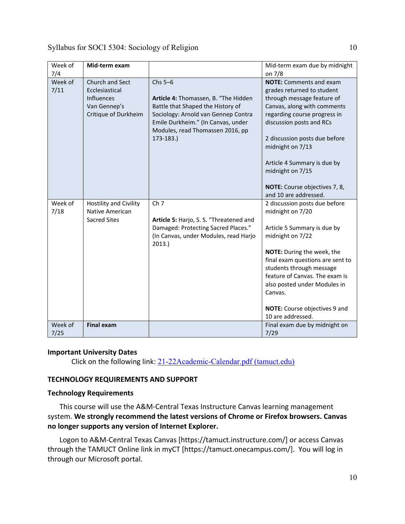| Week of<br>7/4  | Mid-term exam                                                                                  |                                                                                                                                                                                                                         | Mid-term exam due by midnight<br>on 7/8                                                                                                                                                                                                                                                                                                                 |
|-----------------|------------------------------------------------------------------------------------------------|-------------------------------------------------------------------------------------------------------------------------------------------------------------------------------------------------------------------------|---------------------------------------------------------------------------------------------------------------------------------------------------------------------------------------------------------------------------------------------------------------------------------------------------------------------------------------------------------|
| Week of<br>7/11 | <b>Church and Sect</b><br>Ecclesiastical<br>Influences<br>Van Gennep's<br>Critique of Durkheim | $Chs$ 5-6<br>Article 4: Thomassen, B. "The Hidden<br>Battle that Shaped the History of<br>Sociology: Arnold van Gennep Contra<br>Emile Durkheim." (In Canvas, under<br>Modules, read Thomassen 2016, pp<br>$173 - 183.$ | <b>NOTE:</b> Comments and exam<br>grades returned to student<br>through message feature of<br>Canvas, along with comments<br>regarding course progress in<br>discussion posts and RCs<br>2 discussion posts due before<br>midnight on 7/13<br>Article 4 Summary is due by<br>midnight on 7/15<br>NOTE: Course objectives 7, 8,<br>and 10 are addressed. |
| Week of<br>7/18 | <b>Hostility and Civility</b><br>Native American<br><b>Sacred Sites</b>                        | Ch <sub>7</sub><br>Article 5: Harjo, S. S. "Threatened and<br>Damaged: Protecting Sacred Places."<br>(In Canvas, under Modules, read Harjo<br>2013.                                                                     | 2 discussion posts due before<br>midnight on 7/20<br>Article 5 Summary is due by<br>midnight on 7/22<br>NOTE: During the week, the<br>final exam questions are sent to<br>students through message<br>feature of Canvas. The exam is<br>also posted under Modules in<br>Canvas.<br>NOTE: Course objectives 9 and<br>10 are addressed.                   |
| Week of<br>7/25 | <b>Final exam</b>                                                                              |                                                                                                                                                                                                                         | Final exam due by midnight on<br>7/29                                                                                                                                                                                                                                                                                                                   |

## **Important University Dates**

Click on the following link: [21-22Academic-Calendar.pdf \(tamuct.edu\)](https://www.tamuct.edu/registrar/docs/21-22Academic-Calendar.pdf)

## **TECHNOLOGY REQUIREMENTS AND SUPPORT**

## **Technology Requirements**

This course will use the A&M-Central Texas Instructure Canvas learning management system. **We strongly recommend the latest versions of Chrome or Firefox browsers. Canvas no longer supports any version of Internet Explorer.**

Logon to A&M-Central Texas Canvas [https://tamuct.instructure.com/] or access Canvas through the TAMUCT Online link in myCT [https://tamuct.onecampus.com/]. You will log in through our Microsoft portal.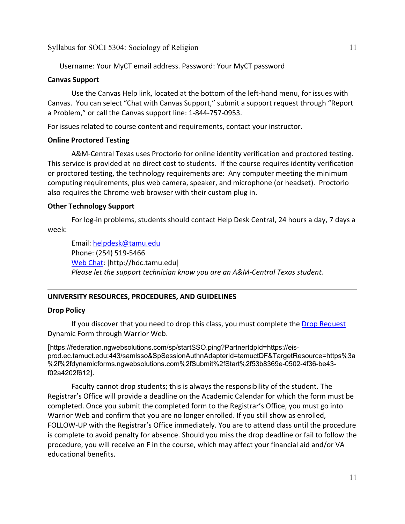Username: Your MyCT email address. Password: Your MyCT password

### **Canvas Support**

Use the Canvas Help link, located at the bottom of the left-hand menu, for issues with Canvas. You can select "Chat with Canvas Support," submit a support request through "Report a Problem," or call the Canvas support line: 1-844-757-0953.

For issues related to course content and requirements, contact your instructor.

### **Online Proctored Testing**

A&M-Central Texas uses Proctorio for online identity verification and proctored testing. This service is provided at no direct cost to students. If the course requires identity verification or proctored testing, the technology requirements are: Any computer meeting the minimum computing requirements, plus web camera, speaker, and microphone (or headset). Proctorio also requires the Chrome web browser with their custom plug in.

## **Other Technology Support**

For log-in problems, students should contact Help Desk Central, 24 hours a day, 7 days a week:

Email: [helpdesk@tamu.edu](mailto:helpdesk@tamu.edu) Phone: (254) 519-5466 [Web Chat:](http://hdc.tamu.edu/) [http://hdc.tamu.edu] *Please let the support technician know you are an A&M-Central Texas student.*

## **UNIVERSITY RESOURCES, PROCEDURES, AND GUIDELINES**

#### **Drop Policy**

If you discover that you need to drop this class, you must complete the [Drop Request](https://federation.ngwebsolutions.com/sp/startSSO.ping?PartnerIdpId=https://eis-prod.ec.tamuct.edu:443/samlsso&SpSessionAuthnAdapterId=tamuctDF&TargetResource=https%3a%2f%2fdynamicforms.ngwebsolutions.com%2fSubmit%2fStart%2f53b8369e-0502-4f36-be43-f02a4202f612) Dynamic Form through Warrior Web.

[https://federation.ngwebsolutions.com/sp/startSSO.ping?PartnerIdpId=https://eisprod.ec.tamuct.edu:443/samlsso&SpSessionAuthnAdapterId=tamuctDF&TargetResource=https%3a %2f%2fdynamicforms.ngwebsolutions.com%2fSubmit%2fStart%2f53b8369e-0502-4f36-be43 f02a4202f612].

Faculty cannot drop students; this is always the responsibility of the student. The Registrar's Office will provide a deadline on the Academic Calendar for which the form must be completed. Once you submit the completed form to the Registrar's Office, you must go into Warrior Web and confirm that you are no longer enrolled. If you still show as enrolled, FOLLOW-UP with the Registrar's Office immediately. You are to attend class until the procedure is complete to avoid penalty for absence. Should you miss the drop deadline or fail to follow the procedure, you will receive an F in the course, which may affect your financial aid and/or VA educational benefits.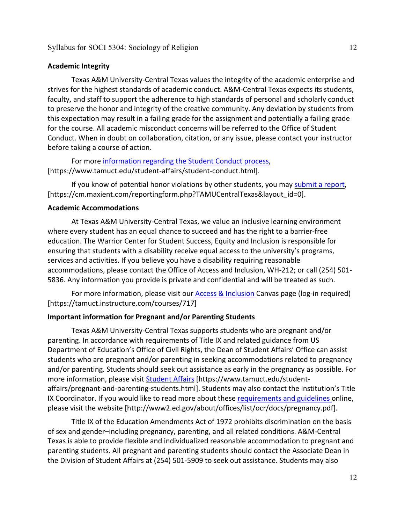#### **Academic Integrity**

Texas A&M University-Central Texas values the integrity of the academic enterprise and strives for the highest standards of academic conduct. A&M-Central Texas expects its students, faculty, and staff to support the adherence to high standards of personal and scholarly conduct to preserve the honor and integrity of the creative community. Any deviation by students from this expectation may result in a failing grade for the assignment and potentially a failing grade for the course. All academic misconduct concerns will be referred to the Office of Student Conduct. When in doubt on collaboration, citation, or any issue, please contact your instructor before taking a course of action.

For more [information](https://nam04.safelinks.protection.outlook.com/?url=https%3A%2F%2Fwww.tamuct.edu%2Fstudent-affairs%2Fstudent-conduct.html&data=04%7C01%7Clisa.bunkowski%40tamuct.edu%7Ccfb6e486f24745f53e1a08d910055cb2%7C9eed4e3000f744849ff193ad8005acec%7C0%7C0%7C637558437485252160%7CUnknown%7CTWFpbGZsb3d8eyJWIjoiMC4wLjAwMDAiLCJQIjoiV2luMzIiLCJBTiI6Ik1haWwiLCJXVCI6Mn0%3D%7C1000&sdata=yjftDEVHvLX%2FhM%2FcFU0B99krV1RgEWR%2BJ%2BhvtoR6TYk%3D&reserved=0) regarding the Student Conduct process, [https://www.tamuct.edu/student-affairs/student-conduct.html].

If you know of potential honor violations by other students, you may [submit](https://nam04.safelinks.protection.outlook.com/?url=https%3A%2F%2Fcm.maxient.com%2Freportingform.php%3FTAMUCentralTexas%26layout_id%3D0&data=04%7C01%7Clisa.bunkowski%40tamuct.edu%7Ccfb6e486f24745f53e1a08d910055cb2%7C9eed4e3000f744849ff193ad8005acec%7C0%7C0%7C637558437485262157%7CUnknown%7CTWFpbGZsb3d8eyJWIjoiMC4wLjAwMDAiLCJQIjoiV2luMzIiLCJBTiI6Ik1haWwiLCJXVCI6Mn0%3D%7C1000&sdata=CXGkOa6uPDPX1IMZ87z3aZDq2n91xfHKu4MMS43Ejjk%3D&reserved=0) a report, [https://cm.maxient.com/reportingform.php?TAMUCentralTexas&layout\_id=0].

### **Academic Accommodations**

At Texas A&M University-Central Texas, we value an inclusive learning environment where every student has an equal chance to succeed and has the right to a barrier-free education. The Warrior Center for Student Success, Equity and Inclusion is responsible for ensuring that students with a disability receive equal access to the university's programs, services and activities. If you believe you have a disability requiring reasonable accommodations, please contact the Office of Access and Inclusion, WH-212; or call (254) 501- 5836. Any information you provide is private and confidential and will be treated as such.

For more information, please visit our **Access & Inclusion Canvas page (log-in required)** [https://tamuct.instructure.com/courses/717]

### **Important information for Pregnant and/or Parenting Students**

Texas A&M University-Central Texas supports students who are pregnant and/or parenting. In accordance with requirements of Title IX and related guidance from US Department of Education's Office of Civil Rights, the Dean of Student Affairs' Office can assist students who are pregnant and/or parenting in seeking accommodations related to pregnancy and/or parenting. Students should seek out assistance as early in the pregnancy as possible. For more information, please visit [Student Affairs](https://www.tamuct.edu/student-affairs/pregnant-and-parenting-students.html) [https://www.tamuct.edu/studentaffairs/pregnant-and-parenting-students.html]. Students may also contact the institution's Title IX Coordinator. If you would like to read more about these [requirements and guidelines](http://www2.ed.gov/about/offices/list/ocr/docs/pregnancy.pdf) online, please visit the website [http://www2.ed.gov/about/offices/list/ocr/docs/pregnancy.pdf].

Title IX of the Education Amendments Act of 1972 prohibits discrimination on the basis of sex and gender–including pregnancy, parenting, and all related conditions. A&M-Central Texas is able to provide flexible and individualized reasonable accommodation to pregnant and parenting students. All pregnant and parenting students should contact the Associate Dean in the Division of Student Affairs at (254) 501-5909 to seek out assistance. Students may also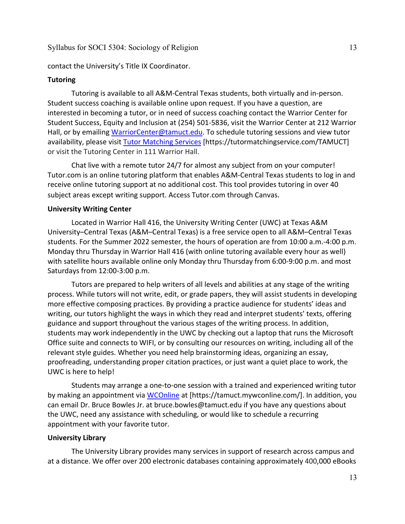#### contact the University's Title IX Coordinator.

#### **Tutoring**

Tutoring is available to all A&M-Central Texas students, both virtually and in-person. Student success coaching is available online upon request. If you have a question, are interested in becoming a tutor, or in need of success coaching contact the Warrior Center for Student Success, Equity and Inclusion at (254) 501-5836, visit the Warrior Center at 212 Warrior Hall, or by emailing [WarriorCenter@tamuct.edu.](mailto:WarriorCenter@tamuct.edu) To schedule tutoring sessions and view tutor availability, please visit Tutor [Matching](https://tutormatchingservice.com/TAMUCT) Services [https://tutormatchingservice.com/TAMUCT] or visit the Tutoring Center in 111 Warrior Hall.

Chat live with a remote tutor 24/7 for almost any subject from on your computer! Tutor.com is an online tutoring platform that enables A&M-Central Texas students to log in and receive online tutoring support at no additional cost. This tool provides tutoring in over 40 subject areas except writing support. Access Tutor.com through Canvas.

#### **University Writing Center**

Located in Warrior Hall 416, the University Writing Center (UWC) at Texas A&M University–Central Texas (A&M–Central Texas) is a free service open to all A&M–Central Texas students. For the Summer 2022 semester, the hours of operation are from 10:00 a.m.-4:00 p.m. Monday thru Thursday in Warrior Hall 416 (with online tutoring available every hour as well) with satellite hours available online only Monday thru Thursday from 6:00-9:00 p.m. and most Saturdays from 12:00-3:00 p.m.

Tutors are prepared to help writers of all levels and abilities at any stage of the writing process. While tutors will not write, edit, or grade papers, they will assist students in developing more effective composing practices. By providing a practice audience for students' ideas and writing, our tutors highlight the ways in which they read and interpret students' texts, offering guidance and support throughout the various stages of the writing process. In addition, students may work independently in the UWC by checking out a laptop that runs the Microsoft Office suite and connects to WIFI, or by consulting our resources on writing, including all of the relevant style guides. Whether you need help brainstorming ideas, organizing an essay, proofreading, understanding proper citation practices, or just want a quiet place to work, the UWC is here to help!

Students may arrange a one-to-one session with a trained and experienced writing tutor by making an appointment via [WCOnline](https://tamuct.mywconline.com/) at [https://tamuct.mywconline.com/]. In addition, you can email Dr. Bruce Bowles Jr. at bruce.bowles@tamuct.edu if you have any questions about the UWC, need any assistance with scheduling, or would like to schedule a recurring appointment with your favorite tutor.

#### **University Library**

The University Library provides many services in support of research across campus and at a distance. We offer over 200 electronic databases containing approximately 400,000 eBooks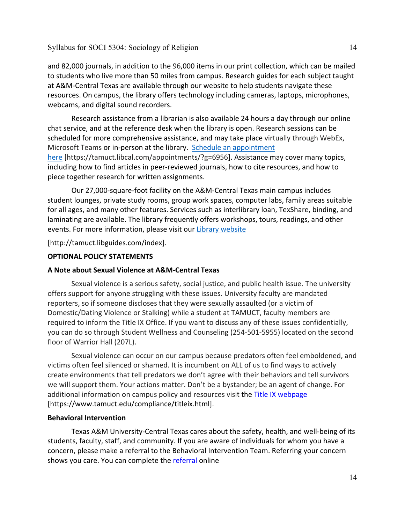and 82,000 journals, in addition to the 96,000 items in our print collection, which can be mailed to students who live more than 50 miles from campus. Research guides for each subject taught at A&M-Central Texas are available through our website to help students navigate these resources. On campus, the library offers technology including cameras, laptops, microphones, webcams, and digital sound recorders.

Research assistance from a librarian is also available 24 hours a day through our online chat service, and at the reference desk when the library is open. Research sessions can be scheduled for more comprehensive assistance, and may take place virtually through WebEx, Microsoft Teams or in-person at the library. Schedule an [appointment](https://nam04.safelinks.protection.outlook.com/?url=https%3A%2F%2Ftamuct.libcal.com%2Fappointments%2F%3Fg%3D6956&data=04%7C01%7Clisa.bunkowski%40tamuct.edu%7Cde2c07d9f5804f09518008d9ab7ba6ff%7C9eed4e3000f744849ff193ad8005acec%7C0%7C0%7C637729369835011558%7CUnknown%7CTWFpbGZsb3d8eyJWIjoiMC4wLjAwMDAiLCJQIjoiV2luMzIiLCJBTiI6Ik1haWwiLCJXVCI6Mn0%3D%7C3000&sdata=KhtjgRSAw9aq%2FoBsB6wyu8b7PSuGN5EGPypzr3Ty2No%3D&reserved=0) [here](https://nam04.safelinks.protection.outlook.com/?url=https%3A%2F%2Ftamuct.libcal.com%2Fappointments%2F%3Fg%3D6956&data=04%7C01%7Clisa.bunkowski%40tamuct.edu%7Cde2c07d9f5804f09518008d9ab7ba6ff%7C9eed4e3000f744849ff193ad8005acec%7C0%7C0%7C637729369835011558%7CUnknown%7CTWFpbGZsb3d8eyJWIjoiMC4wLjAwMDAiLCJQIjoiV2luMzIiLCJBTiI6Ik1haWwiLCJXVCI6Mn0%3D%7C3000&sdata=KhtjgRSAw9aq%2FoBsB6wyu8b7PSuGN5EGPypzr3Ty2No%3D&reserved=0) [https://tamuct.libcal.com/appointments/?g=6956]. Assistance may cover many topics, including how to find articles in peer-reviewed journals, how to cite resources, and how to piece together research for written assignments.

Our 27,000-square-foot facility on the A&M-Central Texas main campus includes student lounges, private study rooms, group work spaces, computer labs, family areas suitable for all ages, and many other features. Services such as interlibrary loan, TexShare, binding, and laminating are available. The library frequently offers workshops, tours, readings, and other events. For more information, please visit our Library [website](https://nam04.safelinks.protection.outlook.com/?url=https%3A%2F%2Ftamuct.libguides.com%2Findex&data=04%7C01%7Clisa.bunkowski%40tamuct.edu%7C7d8489e8839a4915335f08d916f067f2%7C9eed4e3000f744849ff193ad8005acec%7C0%7C0%7C637566044056484222%7CUnknown%7CTWFpbGZsb3d8eyJWIjoiMC4wLjAwMDAiLCJQIjoiV2luMzIiLCJBTiI6Ik1haWwiLCJXVCI6Mn0%3D%7C1000&sdata=2R755V6rcIyedGrd4Os5rkgn1PvhHKU3kUV1vBKiHFo%3D&reserved=0)

[http://tamuct.libguides.com/index].

## **OPTIONAL POLICY STATEMENTS**

## **A Note about Sexual Violence at A&M-Central Texas**

Sexual violence is a serious safety, social justice, and public health issue. The university offers support for anyone struggling with these issues. University faculty are mandated reporters, so if someone discloses that they were sexually assaulted (or a victim of Domestic/Dating Violence or Stalking) while a student at TAMUCT, faculty members are required to inform the Title IX Office. If you want to discuss any of these issues confidentially, you can do so through Student Wellness and Counseling (254-501-5955) located on the second floor of Warrior Hall (207L).

Sexual violence can occur on our campus because predators often feel emboldened, and victims often feel silenced or shamed. It is incumbent on ALL of us to find ways to actively create environments that tell predators we don't agree with their behaviors and tell survivors we will support them. Your actions matter. Don't be a bystander; be an agent of change. For additional information on campus policy and resources visit the [Title IX webpage](https://www.tamuct.edu/compliance/titleix.html) [\[https://www.tamuct.edu/compliance/titleix.html\]](https://www.tamuct.edu/compliance/titleix.html).

## **Behavioral Intervention**

Texas A&M University-Central Texas cares about the safety, health, and well-being of its students, faculty, staff, and community. If you are aware of individuals for whom you have a concern, please make a referral to the Behavioral Intervention Team. Referring your concern shows you care. You can complete the [referral](https://cm.maxient.com/reportingform.php?TAMUCentralTexas&layout_id=2) online